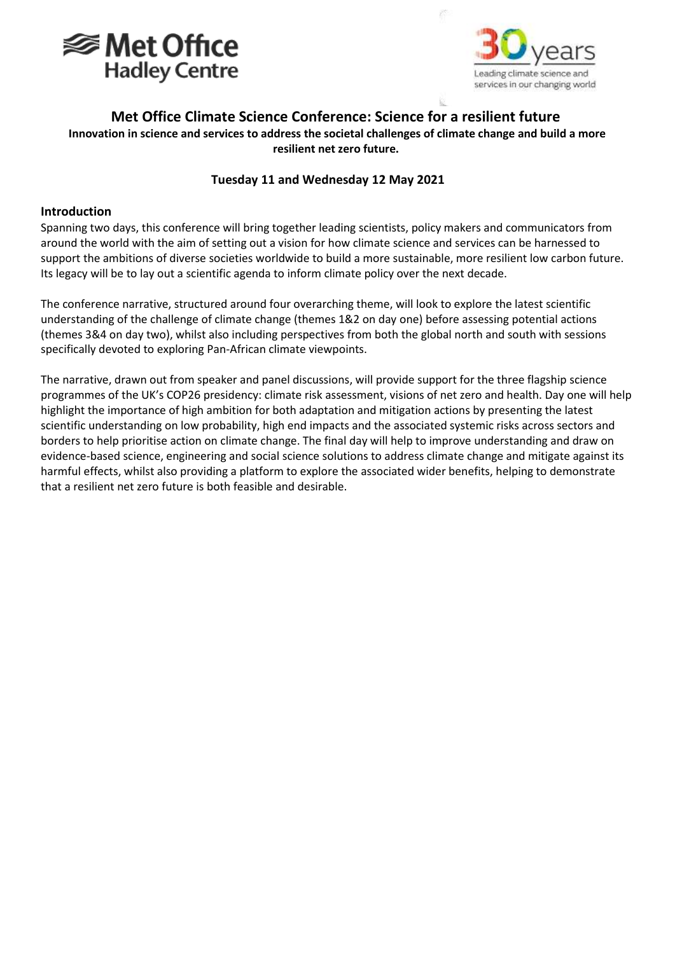



# **Met Office Climate Science Conference: Science for a resilient future Innovation in science and services to address the societal challenges of climate change and build a more resilient net zero future.**

### **Tuesday 11 and Wednesday 12 May 2021**

#### **Introduction**

Spanning two days, this conference will bring together leading scientists, policy makers and communicators from around the world with the aim of setting out a vision for how climate science and services can be harnessed to support the ambitions of diverse societies worldwide to build a more sustainable, more resilient low carbon future. Its legacy will be to lay out a scientific agenda to inform climate policy over the next decade.

The conference narrative, structured around four overarching theme, will look to explore the latest scientific understanding of the challenge of climate change (themes 1&2 on day one) before assessing potential actions (themes 3&4 on day two), whilst also including perspectives from both the global north and south with sessions specifically devoted to exploring Pan-African climate viewpoints.

The narrative, drawn out from speaker and panel discussions, will provide support for the three flagship science programmes of the UK's COP26 presidency: climate risk assessment, visions of net zero and health. Day one will help highlight the importance of high ambition for both adaptation and mitigation actions by presenting the latest scientific understanding on low probability, high end impacts and the associated systemic risks across sectors and borders to help prioritise action on climate change. The final day will help to improve understanding and draw on evidence-based science, engineering and social science solutions to address climate change and mitigate against its harmful effects, whilst also providing a platform to explore the associated wider benefits, helping to demonstrate that a resilient net zero future is both feasible and desirable.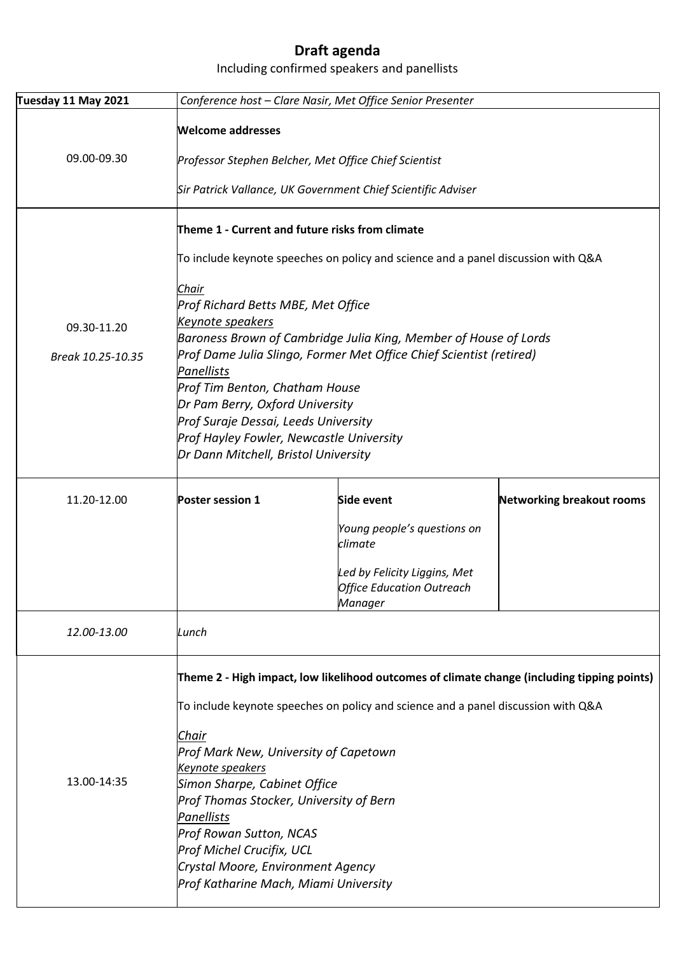# **Draft agenda**

## Including confirmed speakers and panellists

| Tuesday 11 May 2021 | Conference host - Clare Nasir, Met Office Senior Presenter                        |                                                                                             |                                  |  |
|---------------------|-----------------------------------------------------------------------------------|---------------------------------------------------------------------------------------------|----------------------------------|--|
|                     | Welcome addresses                                                                 |                                                                                             |                                  |  |
| 09.00-09.30         |                                                                                   | Professor Stephen Belcher, Met Office Chief Scientist                                       |                                  |  |
|                     | Sir Patrick Vallance, UK Government Chief Scientific Adviser                      |                                                                                             |                                  |  |
|                     | Theme 1 - Current and future risks from climate                                   |                                                                                             |                                  |  |
|                     |                                                                                   |                                                                                             |                                  |  |
|                     | To include keynote speeches on policy and science and a panel discussion with Q&A |                                                                                             |                                  |  |
|                     | Chair                                                                             |                                                                                             |                                  |  |
|                     | Prof Richard Betts MBE, Met Office                                                |                                                                                             |                                  |  |
| 09.30-11.20         | <u>Keynote speakers</u>                                                           |                                                                                             |                                  |  |
|                     | Baroness Brown of Cambridge Julia King, Member of House of Lords                  |                                                                                             |                                  |  |
| Break 10.25-10.35   | Prof Dame Julia Slingo, Former Met Office Chief Scientist (retired)               |                                                                                             |                                  |  |
|                     | Panellists<br>Prof Tim Benton, Chatham House                                      |                                                                                             |                                  |  |
|                     | Dr Pam Berry, Oxford University                                                   |                                                                                             |                                  |  |
|                     | Prof Suraje Dessai, Leeds University                                              |                                                                                             |                                  |  |
|                     | Prof Hayley Fowler, Newcastle University                                          |                                                                                             |                                  |  |
|                     | Dr Dann Mitchell, Bristol University                                              |                                                                                             |                                  |  |
| 11.20-12.00         | Poster session 1                                                                  | Side event                                                                                  | <b>Networking breakout rooms</b> |  |
|                     |                                                                                   | Young people's questions on<br>climate                                                      |                                  |  |
|                     |                                                                                   |                                                                                             |                                  |  |
|                     |                                                                                   | Led by Felicity Liggins, Met                                                                |                                  |  |
|                     |                                                                                   | <b>Office Education Outreach</b><br>Manager                                                 |                                  |  |
| 12.00-13.00         | Lunch                                                                             |                                                                                             |                                  |  |
|                     |                                                                                   |                                                                                             |                                  |  |
|                     |                                                                                   | Theme 2 - High impact, low likelihood outcomes of climate change (including tipping points) |                                  |  |
|                     | To include keynote speeches on policy and science and a panel discussion with Q&A |                                                                                             |                                  |  |
|                     | Chair                                                                             |                                                                                             |                                  |  |
| 13.00-14:35         | Prof Mark New, University of Capetown                                             |                                                                                             |                                  |  |
|                     | Keynote speakers                                                                  |                                                                                             |                                  |  |
|                     | Simon Sharpe, Cabinet Office                                                      |                                                                                             |                                  |  |
|                     | Prof Thomas Stocker, University of Bern                                           |                                                                                             |                                  |  |
|                     | Panellists                                                                        |                                                                                             |                                  |  |
|                     | Prof Rowan Sutton, NCAS                                                           |                                                                                             |                                  |  |
|                     | Prof Michel Crucifix, UCL<br>Crystal Moore, Environment Agency                    |                                                                                             |                                  |  |
|                     | Prof Katharine Mach, Miami University                                             |                                                                                             |                                  |  |
|                     |                                                                                   |                                                                                             |                                  |  |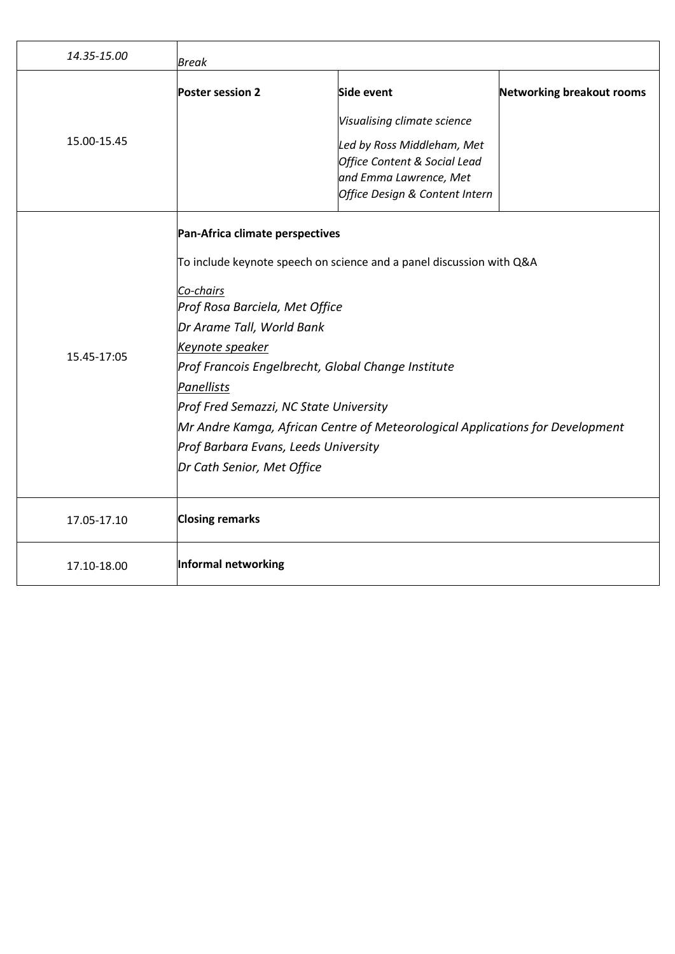| 14.35-15.00 | Break                                                                                                                                                                                                                                                                                                                                                                                                                                                                       |                                                                                                                                                                     |                                  |
|-------------|-----------------------------------------------------------------------------------------------------------------------------------------------------------------------------------------------------------------------------------------------------------------------------------------------------------------------------------------------------------------------------------------------------------------------------------------------------------------------------|---------------------------------------------------------------------------------------------------------------------------------------------------------------------|----------------------------------|
| 15.00-15.45 | <b>Poster session 2</b>                                                                                                                                                                                                                                                                                                                                                                                                                                                     | Side event<br>Visualising climate science<br>Led by Ross Middleham, Met<br>Office Content & Social Lead<br>and Emma Lawrence, Met<br>Office Design & Content Intern | <b>Networking breakout rooms</b> |
| 15.45-17:05 | Pan-Africa climate perspectives<br>To include keynote speech on science and a panel discussion with Q&A<br>Co-chairs<br>Prof Rosa Barciela, Met Office<br>Dr Arame Tall, World Bank<br>Keynote speaker<br>Prof Francois Engelbrecht, Global Change Institute<br>Panellists<br>Prof Fred Semazzi, NC State University<br>Mr Andre Kamga, African Centre of Meteorological Applications for Development<br>Prof Barbara Evans, Leeds University<br>Dr Cath Senior, Met Office |                                                                                                                                                                     |                                  |
| 17.05-17.10 | <b>Closing remarks</b>                                                                                                                                                                                                                                                                                                                                                                                                                                                      |                                                                                                                                                                     |                                  |
| 17.10-18.00 | Informal networking                                                                                                                                                                                                                                                                                                                                                                                                                                                         |                                                                                                                                                                     |                                  |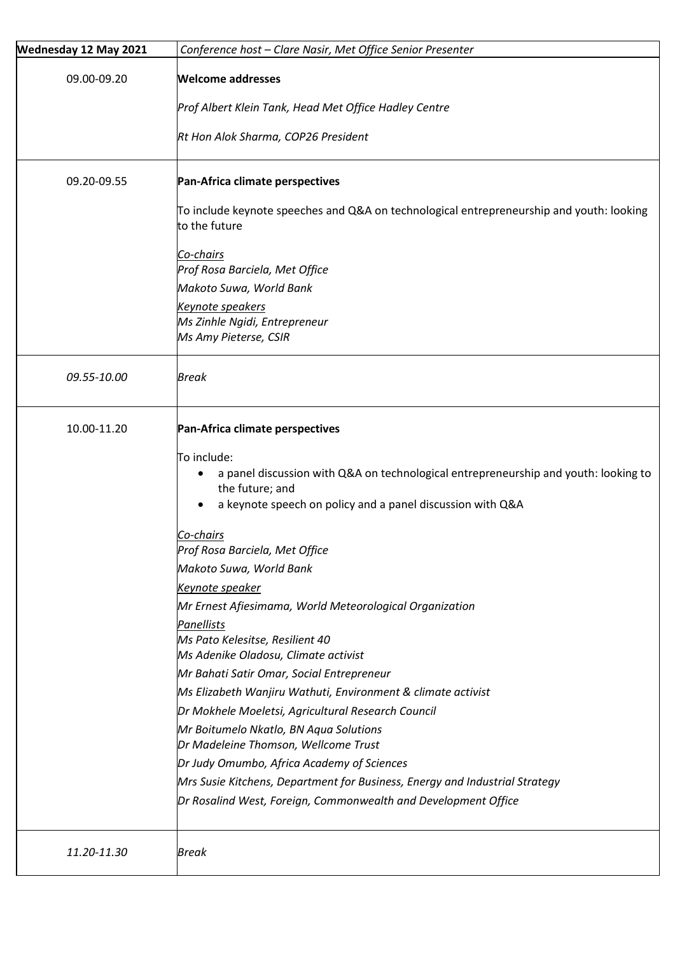| Wednesday 12 May 2021 | Conference host - Clare Nasir, Met Office Senior Presenter                                                |  |  |
|-----------------------|-----------------------------------------------------------------------------------------------------------|--|--|
| 09.00-09.20           | <b>Welcome addresses</b>                                                                                  |  |  |
|                       | Prof Albert Klein Tank, Head Met Office Hadley Centre                                                     |  |  |
|                       | Rt Hon Alok Sharma, COP26 President                                                                       |  |  |
| 09.20-09.55           | Pan-Africa climate perspectives                                                                           |  |  |
|                       | To include keynote speeches and Q&A on technological entrepreneurship and youth: looking<br>to the future |  |  |
|                       | Co-chairs<br>Prof Rosa Barciela, Met Office                                                               |  |  |
|                       | Makoto Suwa, World Bank                                                                                   |  |  |
|                       | Keynote speakers                                                                                          |  |  |
|                       | Ms Zinhle Ngidi, Entrepreneur                                                                             |  |  |
|                       | Ms Amy Pieterse, CSIR                                                                                     |  |  |
| 09.55-10.00           | <b>Break</b>                                                                                              |  |  |
| 10.00-11.20           | Pan-Africa climate perspectives                                                                           |  |  |
|                       | To include:                                                                                               |  |  |
|                       | a panel discussion with Q&A on technological entrepreneurship and youth: looking to<br>٠                  |  |  |
|                       | the future; and                                                                                           |  |  |
|                       | a keynote speech on policy and a panel discussion with Q&A                                                |  |  |
|                       | <u>Co-chairs</u><br>Prof Rosa Barciela, Met Office                                                        |  |  |
|                       | Makoto Suwa, World Bank                                                                                   |  |  |
|                       | Keynote speaker                                                                                           |  |  |
|                       | Mr Ernest Afiesimama, World Meteorological Organization                                                   |  |  |
|                       | Panellists                                                                                                |  |  |
|                       | Ms Pato Kelesitse, Resilient 40                                                                           |  |  |
|                       | Ms Adenike Oladosu, Climate activist                                                                      |  |  |
|                       | Mr Bahati Satir Omar, Social Entrepreneur                                                                 |  |  |
|                       | Ms Elizabeth Wanjiru Wathuti, Environment & climate activist                                              |  |  |
|                       | Dr Mokhele Moeletsi, Agricultural Research Council<br>Mr Boitumelo Nkatlo, BN Aqua Solutions              |  |  |
|                       | Dr Madeleine Thomson, Wellcome Trust                                                                      |  |  |
|                       | Dr Judy Omumbo, Africa Academy of Sciences                                                                |  |  |
|                       | Mrs Susie Kitchens, Department for Business, Energy and Industrial Strategy                               |  |  |
|                       | Dr Rosalind West, Foreign, Commonwealth and Development Office                                            |  |  |
| 11.20-11.30           | <b>Break</b>                                                                                              |  |  |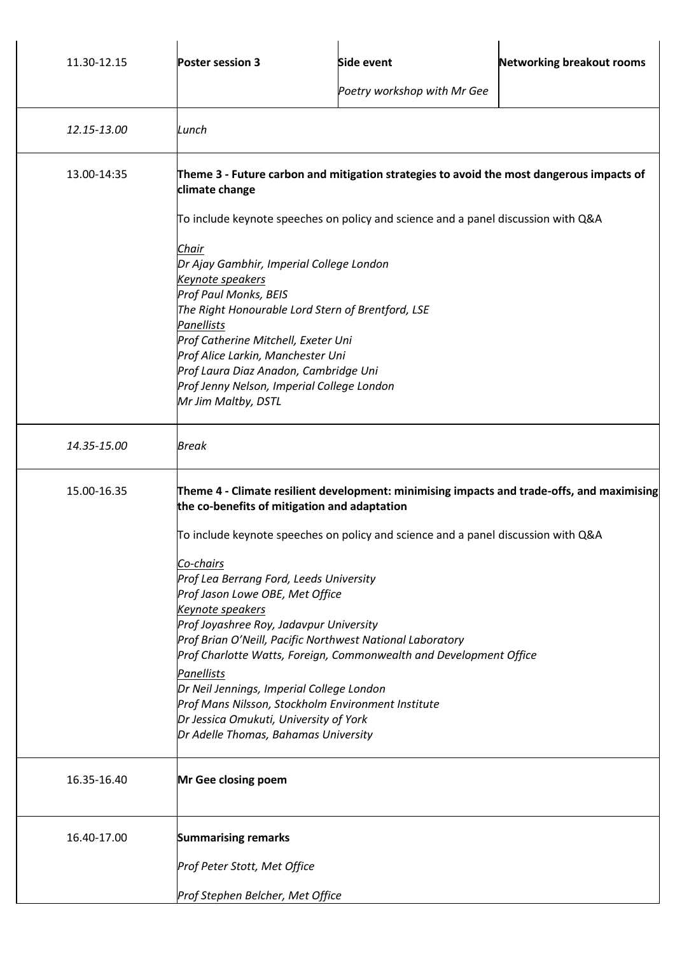| 11.30-12.15                                                 | <b>Poster session 3</b>                                                                                                                                                                                                                     | <b>Side event</b>                                                  | <b>Networking breakout rooms</b> |  |  |
|-------------------------------------------------------------|---------------------------------------------------------------------------------------------------------------------------------------------------------------------------------------------------------------------------------------------|--------------------------------------------------------------------|----------------------------------|--|--|
|                                                             |                                                                                                                                                                                                                                             | Poetry workshop with Mr Gee                                        |                                  |  |  |
| 12.15-13.00                                                 | Lunch                                                                                                                                                                                                                                       |                                                                    |                                  |  |  |
| 13.00-14:35                                                 | Theme 3 - Future carbon and mitigation strategies to avoid the most dangerous impacts of<br>climate change                                                                                                                                  |                                                                    |                                  |  |  |
|                                                             | To include keynote speeches on policy and science and a panel discussion with Q&A<br>Chair                                                                                                                                                  |                                                                    |                                  |  |  |
|                                                             |                                                                                                                                                                                                                                             |                                                                    |                                  |  |  |
|                                                             | Dr Ajay Gambhir, Imperial College London<br>Keynote speakers<br>Prof Paul Monks, BEIS<br>The Right Honourable Lord Stern of Brentford, LSE<br><b>Panellists</b><br>Prof Catherine Mitchell, Exeter Uni<br>Prof Alice Larkin, Manchester Uni |                                                                    |                                  |  |  |
|                                                             |                                                                                                                                                                                                                                             |                                                                    |                                  |  |  |
|                                                             |                                                                                                                                                                                                                                             |                                                                    |                                  |  |  |
|                                                             |                                                                                                                                                                                                                                             |                                                                    |                                  |  |  |
|                                                             | Prof Laura Diaz Anadon, Cambridge Uni<br>Prof Jenny Nelson, Imperial College London                                                                                                                                                         |                                                                    |                                  |  |  |
|                                                             | Mr Jim Maltby, DSTL                                                                                                                                                                                                                         |                                                                    |                                  |  |  |
| 14.35-15.00                                                 | <b>Break</b>                                                                                                                                                                                                                                |                                                                    |                                  |  |  |
| 15.00-16.35                                                 | Theme 4 - Climate resilient development: minimising impacts and trade-offs, and maximising<br>the co-benefits of mitigation and adaptation                                                                                                  |                                                                    |                                  |  |  |
|                                                             | To include keynote speeches on policy and science and a panel discussion with Q&A                                                                                                                                                           |                                                                    |                                  |  |  |
|                                                             | Co-chairs<br>Prof Lea Berrang Ford, Leeds University<br>Prof Jason Lowe OBE, Met Office                                                                                                                                                     |                                                                    |                                  |  |  |
|                                                             |                                                                                                                                                                                                                                             |                                                                    |                                  |  |  |
| Keynote speakers<br>Prof Joyashree Roy, Jadavpur University |                                                                                                                                                                                                                                             |                                                                    |                                  |  |  |
|                                                             | Prof Brian O'Neill, Pacific Northwest National Laboratory                                                                                                                                                                                   |                                                                    |                                  |  |  |
|                                                             |                                                                                                                                                                                                                                             | Prof Charlotte Watts, Foreign, Commonwealth and Development Office |                                  |  |  |
|                                                             | Panellists<br>Dr Neil Jennings, Imperial College London                                                                                                                                                                                     |                                                                    |                                  |  |  |
|                                                             | Prof Mans Nilsson, Stockholm Environment Institute<br>Dr Jessica Omukuti, University of York                                                                                                                                                |                                                                    |                                  |  |  |
|                                                             | Dr Adelle Thomas, Bahamas University                                                                                                                                                                                                        |                                                                    |                                  |  |  |
| 16.35-16.40                                                 | Mr Gee closing poem                                                                                                                                                                                                                         |                                                                    |                                  |  |  |
| 16.40-17.00                                                 | <b>Summarising remarks</b>                                                                                                                                                                                                                  |                                                                    |                                  |  |  |
|                                                             | Prof Peter Stott, Met Office                                                                                                                                                                                                                |                                                                    |                                  |  |  |
|                                                             | Prof Stephen Belcher, Met Office                                                                                                                                                                                                            |                                                                    |                                  |  |  |